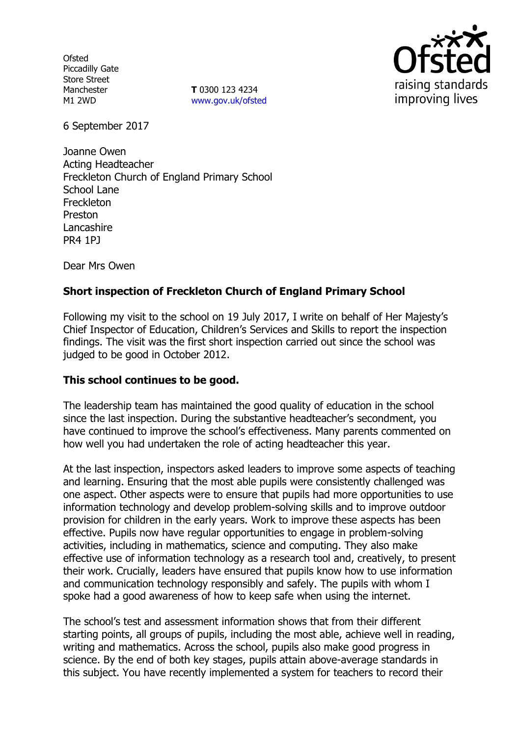**Ofsted** Piccadilly Gate Store Street Manchester M1 2WD

**T** 0300 123 4234 www.gov.uk/ofsted



6 September 2017

Joanne Owen Acting Headteacher Freckleton Church of England Primary School School Lane **Freckleton** Preston Lancashire PR4 1PJ

Dear Mrs Owen

# **Short inspection of Freckleton Church of England Primary School**

Following my visit to the school on 19 July 2017, I write on behalf of Her Majesty's Chief Inspector of Education, Children's Services and Skills to report the inspection findings. The visit was the first short inspection carried out since the school was judged to be good in October 2012.

## **This school continues to be good.**

The leadership team has maintained the good quality of education in the school since the last inspection. During the substantive headteacher's secondment, you have continued to improve the school's effectiveness. Many parents commented on how well you had undertaken the role of acting headteacher this year.

At the last inspection, inspectors asked leaders to improve some aspects of teaching and learning. Ensuring that the most able pupils were consistently challenged was one aspect. Other aspects were to ensure that pupils had more opportunities to use information technology and develop problem-solving skills and to improve outdoor provision for children in the early years. Work to improve these aspects has been effective. Pupils now have regular opportunities to engage in problem-solving activities, including in mathematics, science and computing. They also make effective use of information technology as a research tool and, creatively, to present their work. Crucially, leaders have ensured that pupils know how to use information and communication technology responsibly and safely. The pupils with whom I spoke had a good awareness of how to keep safe when using the internet.

The school's test and assessment information shows that from their different starting points, all groups of pupils, including the most able, achieve well in reading, writing and mathematics. Across the school, pupils also make good progress in science. By the end of both key stages, pupils attain above-average standards in this subject. You have recently implemented a system for teachers to record their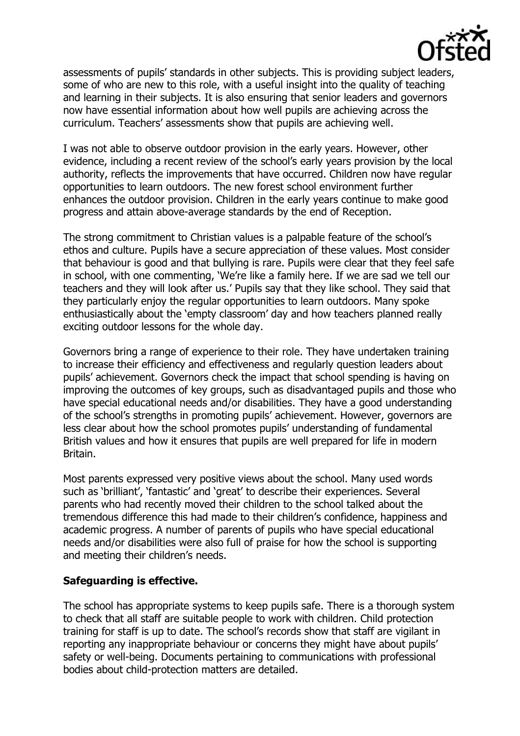

assessments of pupils' standards in other subjects. This is providing subject leaders, some of who are new to this role, with a useful insight into the quality of teaching and learning in their subjects. It is also ensuring that senior leaders and governors now have essential information about how well pupils are achieving across the curriculum. Teachers' assessments show that pupils are achieving well.

I was not able to observe outdoor provision in the early years. However, other evidence, including a recent review of the school's early years provision by the local authority, reflects the improvements that have occurred. Children now have regular opportunities to learn outdoors. The new forest school environment further enhances the outdoor provision. Children in the early years continue to make good progress and attain above-average standards by the end of Reception.

The strong commitment to Christian values is a palpable feature of the school's ethos and culture. Pupils have a secure appreciation of these values. Most consider that behaviour is good and that bullying is rare. Pupils were clear that they feel safe in school, with one commenting, 'We're like a family here. If we are sad we tell our teachers and they will look after us.' Pupils say that they like school. They said that they particularly enjoy the regular opportunities to learn outdoors. Many spoke enthusiastically about the 'empty classroom' day and how teachers planned really exciting outdoor lessons for the whole day.

Governors bring a range of experience to their role. They have undertaken training to increase their efficiency and effectiveness and regularly question leaders about pupils' achievement. Governors check the impact that school spending is having on improving the outcomes of key groups, such as disadvantaged pupils and those who have special educational needs and/or disabilities. They have a good understanding of the school's strengths in promoting pupils' achievement. However, governors are less clear about how the school promotes pupils' understanding of fundamental British values and how it ensures that pupils are well prepared for life in modern Britain.

Most parents expressed very positive views about the school. Many used words such as 'brilliant', 'fantastic' and 'great' to describe their experiences. Several parents who had recently moved their children to the school talked about the tremendous difference this had made to their children's confidence, happiness and academic progress. A number of parents of pupils who have special educational needs and/or disabilities were also full of praise for how the school is supporting and meeting their children's needs.

## **Safeguarding is effective.**

The school has appropriate systems to keep pupils safe. There is a thorough system to check that all staff are suitable people to work with children. Child protection training for staff is up to date. The school's records show that staff are vigilant in reporting any inappropriate behaviour or concerns they might have about pupils' safety or well-being. Documents pertaining to communications with professional bodies about child-protection matters are detailed.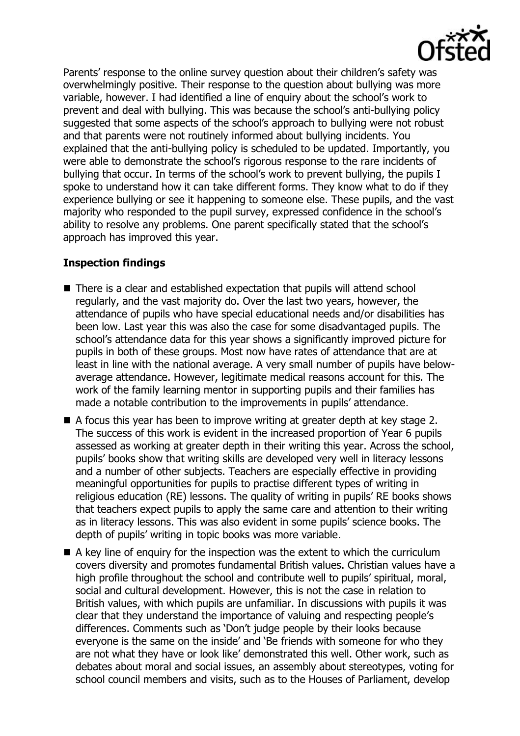Parents' response to the online survey question about their children's safety was overwhelmingly positive. Their response to the question about bullying was more variable, however. I had identified a line of enquiry about the school's work to prevent and deal with bullying. This was because the school's anti-bullying policy suggested that some aspects of the school's approach to bullying were not robust and that parents were not routinely informed about bullying incidents. You explained that the anti-bullying policy is scheduled to be updated. Importantly, you were able to demonstrate the school's rigorous response to the rare incidents of bullying that occur. In terms of the school's work to prevent bullying, the pupils I spoke to understand how it can take different forms. They know what to do if they experience bullying or see it happening to someone else. These pupils, and the vast majority who responded to the pupil survey, expressed confidence in the school's ability to resolve any problems. One parent specifically stated that the school's approach has improved this year.

# **Inspection findings**

- There is a clear and established expectation that pupils will attend school regularly, and the vast majority do. Over the last two years, however, the attendance of pupils who have special educational needs and/or disabilities has been low. Last year this was also the case for some disadvantaged pupils. The school's attendance data for this year shows a significantly improved picture for pupils in both of these groups. Most now have rates of attendance that are at least in line with the national average. A very small number of pupils have belowaverage attendance. However, legitimate medical reasons account for this. The work of the family learning mentor in supporting pupils and their families has made a notable contribution to the improvements in pupils' attendance.
- A focus this year has been to improve writing at greater depth at key stage 2. The success of this work is evident in the increased proportion of Year 6 pupils assessed as working at greater depth in their writing this year. Across the school, pupils' books show that writing skills are developed very well in literacy lessons and a number of other subjects. Teachers are especially effective in providing meaningful opportunities for pupils to practise different types of writing in religious education (RE) lessons. The quality of writing in pupils' RE books shows that teachers expect pupils to apply the same care and attention to their writing as in literacy lessons. This was also evident in some pupils' science books. The depth of pupils' writing in topic books was more variable.
- $\blacksquare$  A key line of enquiry for the inspection was the extent to which the curriculum covers diversity and promotes fundamental British values. Christian values have a high profile throughout the school and contribute well to pupils' spiritual, moral, social and cultural development. However, this is not the case in relation to British values, with which pupils are unfamiliar. In discussions with pupils it was clear that they understand the importance of valuing and respecting people's differences. Comments such as 'Don't judge people by their looks because everyone is the same on the inside' and 'Be friends with someone for who they are not what they have or look like' demonstrated this well. Other work, such as debates about moral and social issues, an assembly about stereotypes, voting for school council members and visits, such as to the Houses of Parliament, develop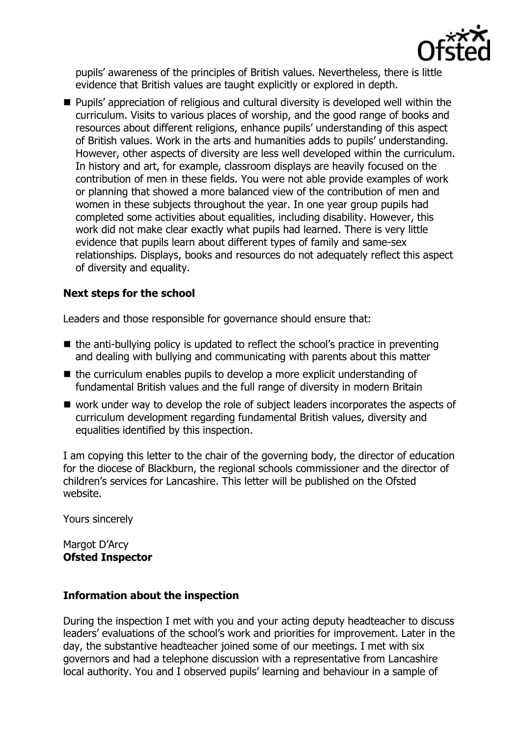

pupils' awareness of the principles of British values. Nevertheless, there is little evidence that British values are taught explicitly or explored in depth.

**Pupils'** appreciation of religious and cultural diversity is developed well within the curriculum. Visits to various places of worship, and the good range of books and resources about different religions, enhance pupils' understanding of this aspect of British values. Work in the arts and humanities adds to pupils' understanding. However, other aspects of diversity are less well developed within the curriculum. In history and art, for example, classroom displays are heavily focused on the contribution of men in these fields. You were not able provide examples of work or planning that showed a more balanced view of the contribution of men and women in these subjects throughout the year. In one year group pupils had completed some activities about equalities, including disability. However, this work did not make clear exactly what pupils had learned. There is very little evidence that pupils learn about different types of family and same-sex relationships. Displays, books and resources do not adequately reflect this aspect of diversity and equality.

## **Next steps for the school**

Leaders and those responsible for governance should ensure that:

- $\blacksquare$  the anti-bullying policy is updated to reflect the school's practice in preventing and dealing with bullying and communicating with parents about this matter
- $\blacksquare$  the curriculum enables pupils to develop a more explicit understanding of fundamental British values and the full range of diversity in modern Britain
- work under way to develop the role of subject leaders incorporates the aspects of curriculum development regarding fundamental British values, diversity and equalities identified by this inspection.

I am copying this letter to the chair of the governing body, the director of education for the diocese of Blackburn, the regional schools commissioner and the director of children's services for Lancashire. This letter will be published on the Ofsted website.

Yours sincerely

Margot D'Arcy **Ofsted Inspector**

## **Information about the inspection**

During the inspection I met with you and your acting deputy headteacher to discuss leaders' evaluations of the school's work and priorities for improvement. Later in the day, the substantive headteacher joined some of our meetings. I met with six governors and had a telephone discussion with a representative from Lancashire local authority. You and I observed pupils' learning and behaviour in a sample of